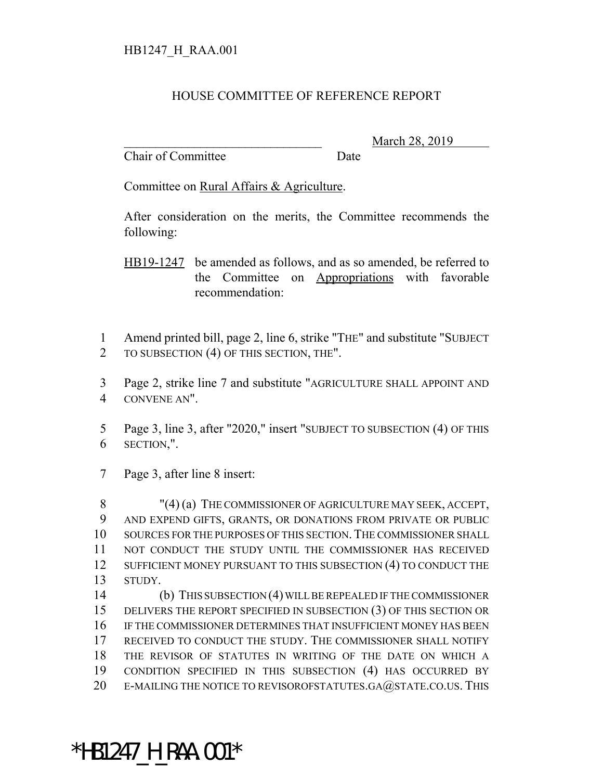## HOUSE COMMITTEE OF REFERENCE REPORT

Chair of Committee Date

March 28, 2019

Committee on Rural Affairs & Agriculture.

After consideration on the merits, the Committee recommends the following:

- 1 Amend printed bill, page 2, line 6, strike "THE" and substitute "SUBJECT 2 TO SUBSECTION (4) OF THIS SECTION, THE".
- 3 Page 2, strike line 7 and substitute "AGRICULTURE SHALL APPOINT AND 4 CONVENE AN".
- 5 Page 3, line 3, after "2020," insert "SUBJECT TO SUBSECTION (4) OF THIS 6 SECTION,".
- 7 Page 3, after line 8 insert:

8 "(4) (a) THE COMMISSIONER OF AGRICULTURE MAY SEEK, ACCEPT, 9 AND EXPEND GIFTS, GRANTS, OR DONATIONS FROM PRIVATE OR PUBLIC 10 SOURCES FOR THE PURPOSES OF THIS SECTION.THE COMMISSIONER SHALL 11 NOT CONDUCT THE STUDY UNTIL THE COMMISSIONER HAS RECEIVED 12 SUFFICIENT MONEY PURSUANT TO THIS SUBSECTION (4) TO CONDUCT THE 13 STUDY.

 (b) THIS SUBSECTION (4) WILL BE REPEALED IF THE COMMISSIONER DELIVERS THE REPORT SPECIFIED IN SUBSECTION (3) OF THIS SECTION OR IF THE COMMISSIONER DETERMINES THAT INSUFFICIENT MONEY HAS BEEN RECEIVED TO CONDUCT THE STUDY. THE COMMISSIONER SHALL NOTIFY THE REVISOR OF STATUTES IN WRITING OF THE DATE ON WHICH A CONDITION SPECIFIED IN THIS SUBSECTION (4) HAS OCCURRED BY 20 E-MAILING THE NOTICE TO REVISOROFSTATUTES.GA@STATE.CO.US. THIS

## \*HB1247\_H\_RAA.001\*

HB19-1247 be amended as follows, and as so amended, be referred to the Committee on Appropriations with favorable recommendation: